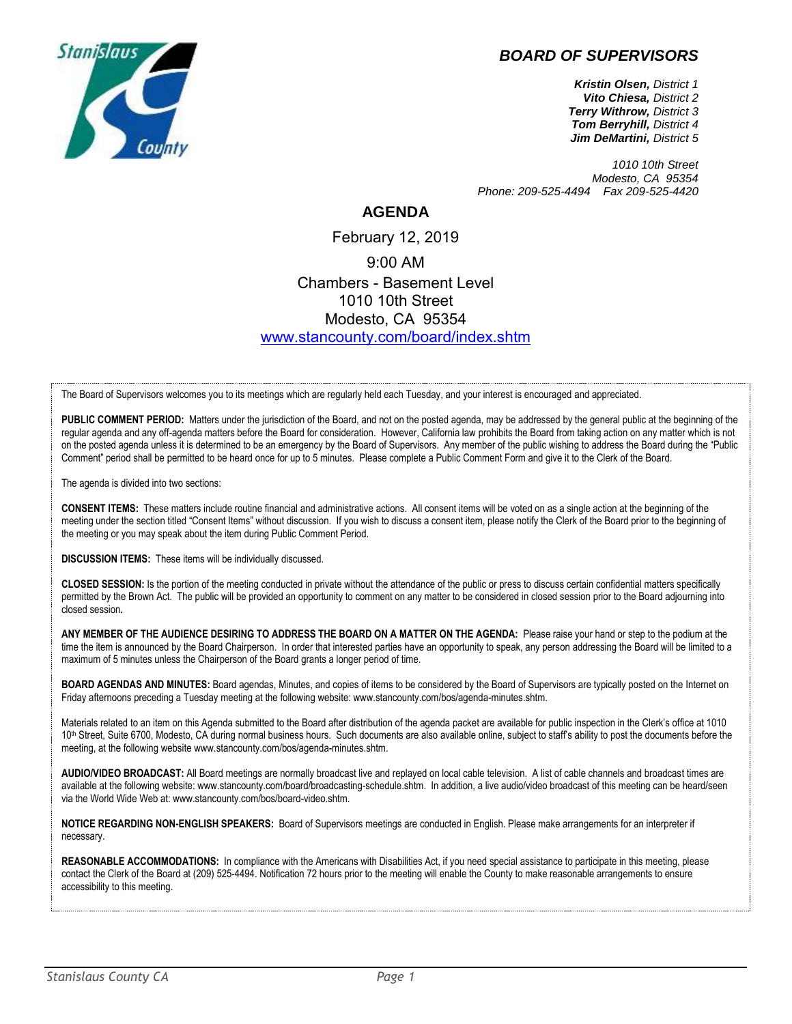## *BOARD OF SUPERVISORS*



*Kristin Olsen, District 1 Vito Chiesa, District 2 Terry Withrow, District 3 Tom Berryhill, District 4 Jim DeMartini, District 5*

*1010 10th Street Modesto, CA 95354 Phone: 209-525-4494 Fax 209-525-4420*

## **AGENDA**

February 12, 2019 9:00 AM Chambers - Basement Level 1010 10th Street Modesto, CA 95354 [www.stancounty.com/board/index.shtm](http://www.stancounty.com/board/index.shtm)

The Board of Supervisors welcomes you to its meetings which are regularly held each Tuesday, and your interest is encouraged and appreciated.

PUBLIC COMMENT PERIOD: Matters under the jurisdiction of the Board, and not on the posted agenda, may be addressed by the general public at the beginning of the regular agenda and any off-agenda matters before the Board for consideration. However, California law prohibits the Board from taking action on any matter which is not on the posted agenda unless it is determined to be an emergency by the Board of Supervisors. Any member of the public wishing to address the Board during the "Public Comment" period shall be permitted to be heard once for up to 5 minutes. Please complete a Public Comment Form and give it to the Clerk of the Board.

The agenda is divided into two sections:

**CONSENT ITEMS:** These matters include routine financial and administrative actions. All consent items will be voted on as a single action at the beginning of the meeting under the section titled "Consent Items" without discussion. If you wish to discuss a consent item, please notify the Clerk of the Board prior to the beginning of the meeting or you may speak about the item during Public Comment Period.

**DISCUSSION ITEMS:** These items will be individually discussed.

**CLOSED SESSION:** Is the portion of the meeting conducted in private without the attendance of the public or press to discuss certain confidential matters specifically permitted by the Brown Act. The public will be provided an opportunity to comment on any matter to be considered in closed session prior to the Board adjourning into closed session**.**

**ANY MEMBER OF THE AUDIENCE DESIRING TO ADDRESS THE BOARD ON A MATTER ON THE AGENDA:** Please raise your hand or step to the podium at the time the item is announced by the Board Chairperson. In order that interested parties have an opportunity to speak, any person addressing the Board will be limited to a maximum of 5 minutes unless the Chairperson of the Board grants a longer period of time.

**BOARD AGENDAS AND MINUTES:** Board agendas, Minutes, and copies of items to be considered by the Board of Supervisors are typically posted on the Internet on Friday afternoons preceding a Tuesday meeting at the following website: www.stancounty.com/bos/agenda-minutes.shtm.

Materials related to an item on this Agenda submitted to the Board after distribution of the agenda packet are available for public inspection in the Clerk's office at 1010 10<sup>th</sup> Street, Suite 6700, Modesto, CA during normal business hours. Such documents are also available online, subject to staff's ability to post the documents before the meeting, at the following website www.stancounty.com/bos/agenda-minutes.shtm.

**AUDIO/VIDEO BROADCAST:** All Board meetings are normally broadcast live and replayed on local cable television. A list of cable channels and broadcast times are available at the following website: www.stancounty.com/board/broadcasting-schedule.shtm. In addition, a live audio/video broadcast of this meeting can be heard/seen via the World Wide Web at: www.stancounty.com/bos/board-video.shtm.

**NOTICE REGARDING NON-ENGLISH SPEAKERS:** Board of Supervisors meetings are conducted in English. Please make arrangements for an interpreter if necessary.

**REASONABLE ACCOMMODATIONS:** In compliance with the Americans with Disabilities Act, if you need special assistance to participate in this meeting, please contact the Clerk of the Board at (209) 525-4494. Notification 72 hours prior to the meeting will enable the County to make reasonable arrangements to ensure accessibility to this meeting.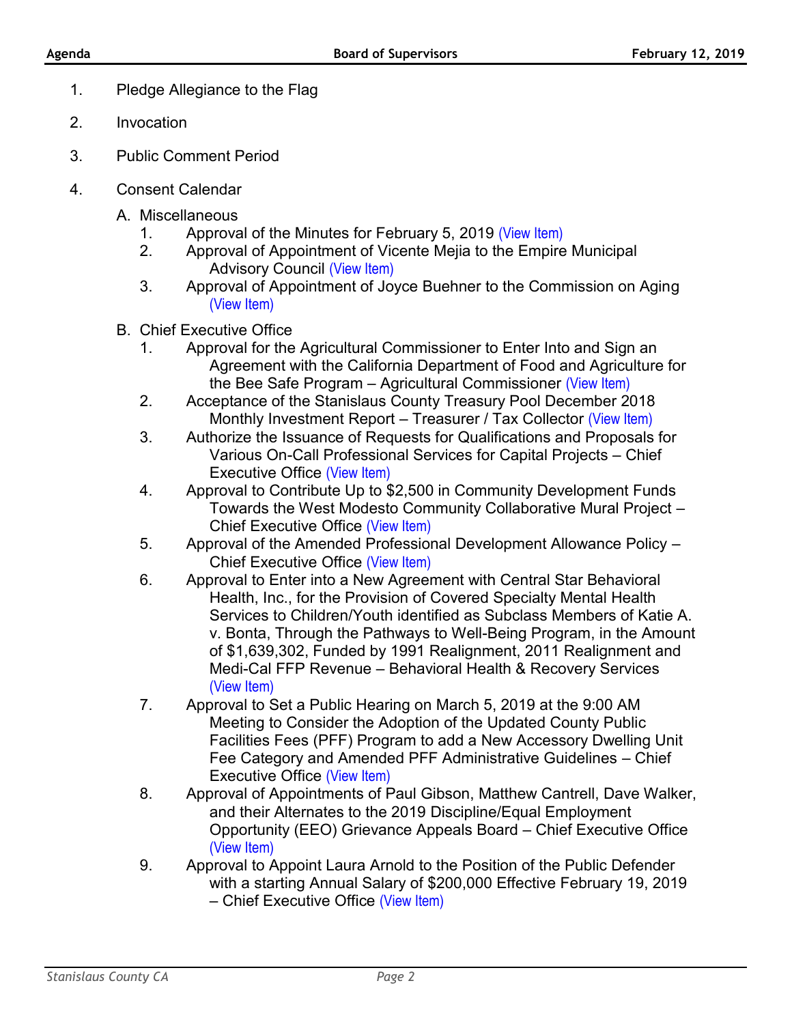- 1. Pledge Allegiance to the Flag
- 2. Invocation
- 3. Public Comment Period
- 4. Consent Calendar
	- A. Miscellaneous
		- 1. Approval of the Minutes for February 5, 2019 [\(View Item\)](http://stancounty.com/bos/minutes/2019/min02-05-19.pdf)
		- 2. Approval of Appointment of Vicente Mejia to the Empire Municipal Advisory Council [\(View Item\)](http://stancounty.com/bos/agenda/2019/20190212/A02.pdf)
		- 3. Approval of Appointment of Joyce Buehner to the Commission on Aging [\(View Item\)](http://stancounty.com/bos/agenda/2019/20190212/A03.pdf)
	- B. Chief Executive Office
		- 1. Approval for the Agricultural Commissioner to Enter Into and Sign an Agreement with the California Department of Food and Agriculture for the Bee Safe Program - Agricultural Commissioner [\(View Item\)](http://stancounty.com/bos/agenda/2019/20190212/B01.pdf)
		- 2. Acceptance of the Stanislaus County Treasury Pool December 2018 Monthly Investment Report – Treasurer / Tax Collector [\(View Item\)](http://stancounty.com/bos/agenda/2019/20190212/B02.pdf)
		- 3. Authorize the Issuance of Requests for Qualifications and Proposals for Various On-Call Professional Services for Capital Projects – Chief Executive Office [\(View Item\)](http://stancounty.com/bos/agenda/2019/20190212/B03.pdf)
		- 4. Approval to Contribute Up to \$2,500 in Community Development Funds Towards the West Modesto Community Collaborative Mural Project – Chief Executive Office [\(View Item\)](http://stancounty.com/bos/agenda/2019/20190212/B04.pdf)
		- 5. Approval of the Amended Professional Development Allowance Policy Chief Executive Office [\(View Item\)](http://stancounty.com/bos/agenda/2019/20190212/B05.pdf)
		- 6. Approval to Enter into a New Agreement with Central Star Behavioral Health, Inc., for the Provision of Covered Specialty Mental Health Services to Children/Youth identified as Subclass Members of Katie A. v. Bonta, Through the Pathways to Well-Being Program, in the Amount of \$1,639,302, Funded by 1991 Realignment, 2011 Realignment and Medi-Cal FFP Revenue – Behavioral Health & Recovery Services [\(View Item\)](http://stancounty.com/bos/agenda/2019/20190212/B06.pdf)
		- 7. Approval to Set a Public Hearing on March 5, 2019 at the 9:00 AM Meeting to Consider the Adoption of the Updated County Public Facilities Fees (PFF) Program to add a New Accessory Dwelling Unit Fee Category and Amended PFF Administrative Guidelines – Chief Executive Office [\(View Item\)](http://stancounty.com/bos/agenda/2019/20190212/B07.pdf)
		- 8. Approval of Appointments of Paul Gibson, Matthew Cantrell, Dave Walker, and their Alternates to the 2019 Discipline/Equal Employment Opportunity (EEO) Grievance Appeals Board – Chief Executive Office [\(View Item\)](http://stancounty.com/bos/agenda/2019/20190212/B08.pdf)
		- 9. Approval to Appoint Laura Arnold to the Position of the Public Defender with a starting Annual Salary of \$200,000 Effective February 19, 2019 – Chief Executive Office [\(View Item\)](http://stancounty.com/bos/agenda/2019/20190212/B09.pdf)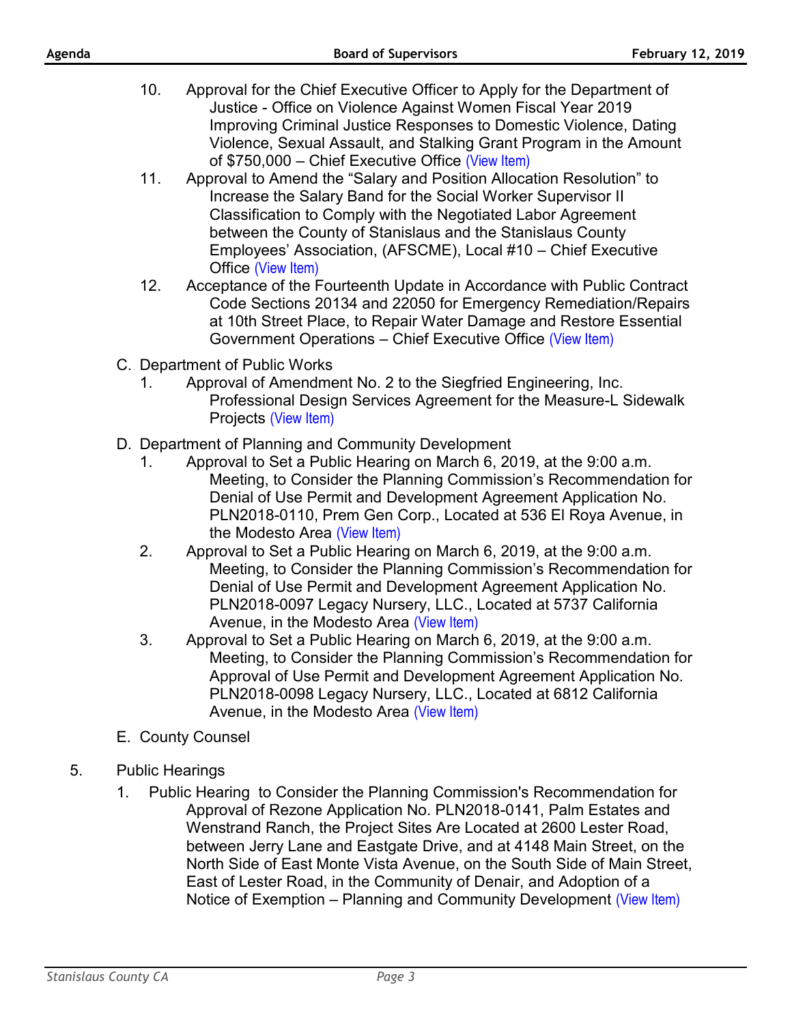- 10. Approval for the Chief Executive Officer to Apply for the Department of Justice - Office on Violence Against Women Fiscal Year 2019 Improving Criminal Justice Responses to Domestic Violence, Dating Violence, Sexual Assault, and Stalking Grant Program in the Amount of \$750,000 – Chief Executive Office [\(View Item\)](http://stancounty.com/bos/agenda/2019/20190212/B10.pdf)
- 11. Approval to Amend the "Salary and Position Allocation Resolution" to Increase the Salary Band for the Social Worker Supervisor II Classification to Comply with the Negotiated Labor Agreement between the County of Stanislaus and the Stanislaus County Employees' Association, (AFSCME), Local #10 – Chief Executive Office [\(View Item\)](http://stancounty.com/bos/agenda/2019/20190212/B11.pdf)
- 12. Acceptance of the Fourteenth Update in Accordance with Public Contract Code Sections 20134 and 22050 for Emergency Remediation/Repairs at 10th Street Place, to Repair Water Damage and Restore Essential Government Operations – Chief Executive Office [\(View Item\)](http://stancounty.com/bos/agenda/2019/20190212/B12.pdf)
- C. Department of Public Works
	- 1. Approval of Amendment No. 2 to the Siegfried Engineering, Inc.
		- Professional Design Services Agreement for the Measure-L Sidewalk Projects [\(View Item\)](http://stancounty.com/bos/agenda/2019/20190212/C01.pdf)
- D. Department of Planning and Community Development
	- 1. Approval to Set a Public Hearing on March 6, 2019, at the 9:00 a.m. Meeting, to Consider the Planning Commission's Recommendation for Denial of Use Permit and Development Agreement Application No. PLN2018-0110, Prem Gen Corp., Located at 536 El Roya Avenue, in the Modesto Area [\(View Item\)](http://stancounty.com/bos/agenda/2019/20190212/D01.pdf)
	- 2. Approval to Set a Public Hearing on March 6, 2019, at the 9:00 a.m. Meeting, to Consider the Planning Commission's Recommendation for Denial of Use Permit and Development Agreement Application No. PLN2018-0097 Legacy Nursery, LLC., Located at 5737 California Avenue, in the Modesto Area [\(View Item\)](http://stancounty.com/bos/agenda/2019/20190212/D02.pdf)
	- 3. Approval to Set a Public Hearing on March 6, 2019, at the 9:00 a.m. Meeting, to Consider the Planning Commission's Recommendation for Approval of Use Permit and Development Agreement Application No. PLN2018-0098 Legacy Nursery, LLC., Located at 6812 California Avenue, in the Modesto Area [\(View Item\)](http://stancounty.com/bos/agenda/2019/20190212/D03.pdf)
- E. County Counsel
- 5. Public Hearings
	- 1. Public Hearing to Consider the Planning Commission's Recommendation for Approval of Rezone Application No. PLN2018-0141, Palm Estates and Wenstrand Ranch, the Project Sites Are Located at 2600 Lester Road, between Jerry Lane and Eastgate Drive, and at 4148 Main Street, on the North Side of East Monte Vista Avenue, on the South Side of Main Street, East of Lester Road, in the Community of Denair, and Adoption of a Notice of Exemption – Planning and Community Development [\(View Item\)](http://stancounty.com/bos/agenda/2019/20190212/PH01.pdf)